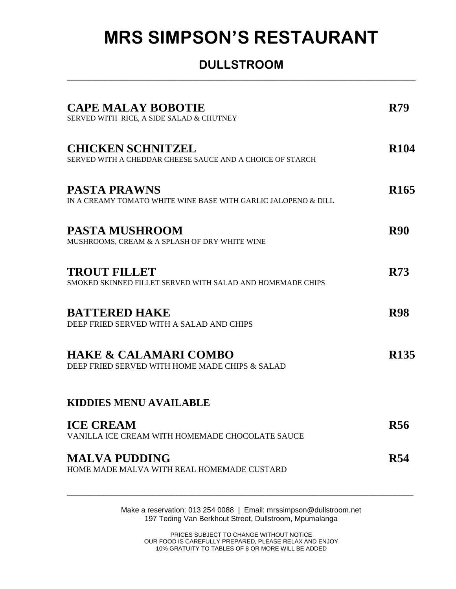## **MRS SIMPSON'S RESTAURANT**

## **DULLSTROOM** \_\_\_\_\_\_\_\_\_\_\_\_\_\_\_\_\_\_\_\_\_\_\_\_\_\_\_\_\_\_\_\_\_\_\_\_\_\_\_\_\_\_\_\_\_\_\_\_\_\_\_\_\_\_\_\_\_\_\_\_\_\_\_\_\_\_\_\_\_\_\_\_\_\_\_\_\_\_

| <b>CAPE MALAY BOBOTIE</b><br>SERVED WITH RICE, A SIDE SALAD & CHUTNEY                 | <b>R79</b>       |
|---------------------------------------------------------------------------------------|------------------|
| <b>CHICKEN SCHNITZEL</b><br>SERVED WITH A CHEDDAR CHEESE SAUCE AND A CHOICE OF STARCH | <b>R104</b>      |
| <b>PASTA PRAWNS</b><br>IN A CREAMY TOMATO WHITE WINE BASE WITH GARLIC JALOPENO & DILL | R <sub>165</sub> |
| <b>PASTA MUSHROOM</b><br>MUSHROOMS, CREAM & A SPLASH OF DRY WHITE WINE                | <b>R90</b>       |
| <b>TROUT FILLET</b><br>SMOKED SKINNED FILLET SERVED WITH SALAD AND HOMEMADE CHIPS     | <b>R73</b>       |
| <b>BATTERED HAKE</b><br>DEEP FRIED SERVED WITH A SALAD AND CHIPS                      | <b>R98</b>       |
| <b>HAKE &amp; CALAMARI COMBO</b><br>DEEP FRIED SERVED WITH HOME MADE CHIPS & SALAD    | R <sub>135</sub> |
| <b>KIDDIES MENU AVAILABLE</b>                                                         |                  |
| <b>ICE CREAM</b><br>VANILLA ICE CREAM WITH HOMEMADE CHOCOLATE SAUCE                   | R56              |
| <b>MALVA PUDDING</b><br>HOME MADE MALVA WITH REAL HOMEMADE CUSTARD                    | <b>R54</b>       |

Make a reservation: 013 254 0088 | Email: mrssimpson@dullstroom.net 197 Teding Van Berkhout Street, Dullstroom, Mpumalanga

PRICES SUBJECT TO CHANGE WITHOUT NOTICE OUR FOOD IS CAREFULLY PREPARED, PLEASE RELAX AND ENJOY 10% GRATUITY TO TABLES OF 8 OR MORE WILL BE ADDED